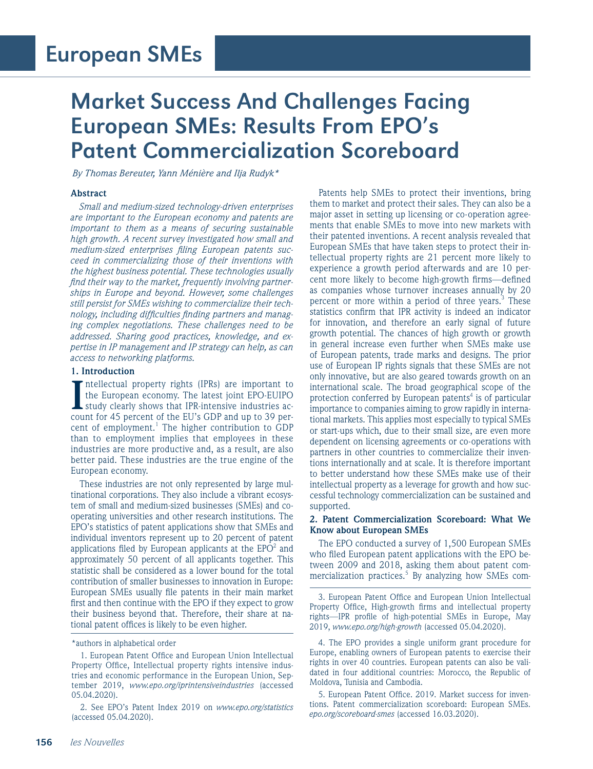# Market Success And Challenges Facing European SMEs: Results From EPO's Patent Commercialization Scoreboard

*By Thomas Bereuter, Yann Ménière and Ilja Rudyk\**

### **Abstract**

*Small and medium-sized technology-driven enterprises are important to the European economy and patents are important to them as a means of securing sustainable high growth. A recent survey investigated how small and medium-sized enterprises filing European patents succeed in commercializing those of their inventions with the highest business potential. These technologies usually find their way to the market, frequently involving partnerships in Europe and beyond. However, some challenges still persist for SMEs wishing to commercialize their technology, including difficulties finding partners and managing complex negotiations. These challenges need to be addressed. Sharing good practices, knowledge, and expertise in IP management and IP strategy can help, as can access to networking platforms.*

#### **1. Introduction**

Intellectual property rights (IPRs) are important to the European economy. The latest joint EPO-EUIPO study clearly shows that IPR-intensive industries account for 45 percent of the EU's GDP and up to 39 perntellectual property rights (IPRs) are important to the European economy. The latest joint EPO-EUIPO study clearly shows that IPR-intensive industries accent of employment.<sup>1</sup> The higher contribution to GDP than to employment implies that employees in these industries are more productive and, as a result, are also better paid. These industries are the true engine of the European economy.

These industries are not only represented by large multinational corporations. They also include a vibrant ecosystem of small and medium-sized businesses (SMEs) and cooperating universities and other research institutions. The EPO's statistics of patent applications show that SMEs and individual inventors represent up to 20 percent of patent applications filed by European applicants at the  $EPO^2$  and approximately 50 percent of all applicants together. This statistic shall be considered as a lower bound for the total contribution of smaller businesses to innovation in Europe: European SMEs usually file patents in their main market first and then continue with the EPO if they expect to grow their business beyond that. Therefore, their share at national patent offices is likely to be even higher.

2. See EPO's Patent Index 2019 on *www.epo.org/statistics* (accessed 05.04.2020).

Patents help SMEs to protect their inventions, bring them to market and protect their sales. They can also be a major asset in setting up licensing or co-operation agreements that enable SMEs to move into new markets with their patented inventions. A recent analysis revealed that European SMEs that have taken steps to protect their intellectual property rights are 21 percent more likely to experience a growth period afterwards and are 10 percent more likely to become high-growth firms—defined as companies whose turnover increases annually by 20 percent or more within a period of three years.<sup>3</sup> These statistics confirm that IPR activity is indeed an indicator for innovation, and therefore an early signal of future growth potential. The chances of high growth or growth in general increase even further when SMEs make use of European patents, trade marks and designs. The prior use of European IP rights signals that these SMEs are not only innovative, but are also geared towards growth on an international scale. The broad geographical scope of the protection conferred by European patents<sup>4</sup> is of particular importance to companies aiming to grow rapidly in international markets. This applies most especially to typical SMEs or start-ups which, due to their small size, are even more dependent on licensing agreements or co-operations with partners in other countries to commercialize their inventions internationally and at scale. It is therefore important to better understand how these SMEs make use of their intellectual property as a leverage for growth and how successful technology commercialization can be sustained and supported.

#### **2. Patent Commercialization Scoreboard: What We Know about European SMEs**

The EPO conducted a survey of 1,500 European SMEs who filed European patent applications with the EPO between 2009 and 2018, asking them about patent commercialization practices.<sup>5</sup> By analyzing how SMEs com-

5. European Patent Office. 2019. Market success for inventions. Patent commercialization scoreboard: European SMEs. *epo.org/scoreboard-smes* (accessed 16.03.2020).

<sup>\*</sup>authors in alphabetical order

<sup>1.</sup> European Patent Office and European Union Intellectual Property Office, Intellectual property rights intensive industries and economic performance in the European Union, September 2019, *www.epo.org/iprintensiveindustries* (accessed 05.04.2020).

<sup>3.</sup> European Patent Office and European Union Intellectual Property Office, High-growth firms and intellectual property rights—IPR profile of high-potential SMEs in Europe, May 2019, *www.epo.org/high-growth* (accessed 05.04.2020).

<sup>4.</sup> The EPO provides a single uniform grant procedure for Europe, enabling owners of European patents to exercise their rights in over 40 countries. European patents can also be validated in four additional countries: Morocco, the Republic of Moldova, Tunisia and Cambodia.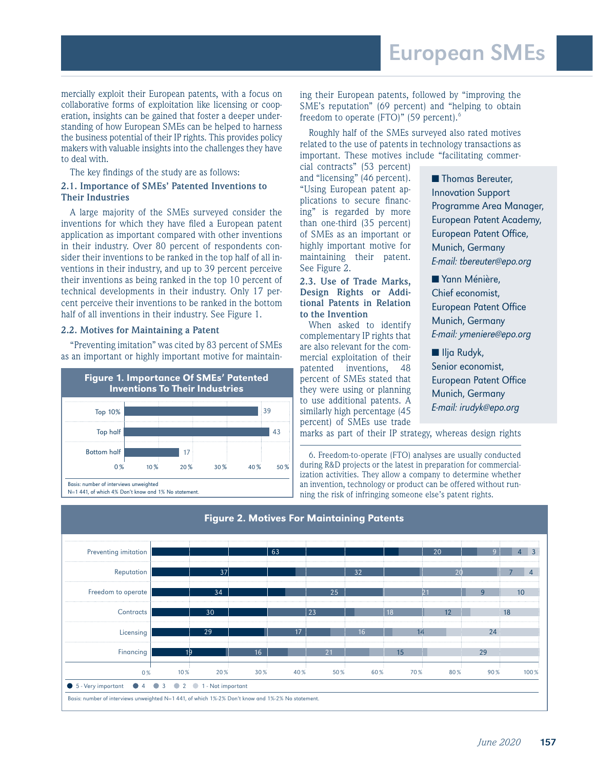mercially exploit their European patents, with a focus on collaborative forms of exploitation like licensing or cooperation, insights can be gained that foster a deeper understanding of how European SMEs can be helped to harness the business potential of their IP rights. This provides policy makers with valuable insights into the challenges they have to deal with.

The key findings of the study are as follows:

### **2.1. Importance of SMEs' Patented Inventions to Their Industries**

A large majority of the SMEs surveyed consider the inventions for which they have filed a European patent application as important compared with other inventions in their industry. Over 80 percent of respondents consider their inventions to be ranked in the top half of all inventions in their industry, and up to 39 percent perceive their inventions as being ranked in the top 10 percent of technical developments in their industry. Only 17 percent perceive their inventions to be ranked in the bottom half of all inventions in their industry. See Figure 1.

### **2.2. Motives for Maintaining a Patent**

"Preventing imitation" was cited by 83 percent of SMEs as an important or highly important motive for maintain-



ing their European patents, followed by "improving the SME's reputation" (69 percent) and "helping to obtain freedom to operate (FTO)" (59 percent).<sup>6</sup>

Roughly half of the SMEs surveyed also rated motives related to the use of patents in technology transactions as important. These motives include "facilitating commer-

cial contracts" (53 percent) and "licensing" (46 percent). "Using European patent applications to secure financing" is regarded by more than one-third (35 percent) of SMEs as an important or highly important motive for maintaining their patent. See Figure 2.

#### **2.3. Use of Trade Marks, Design Rights or Additional Patents in Relation to the Invention**

When asked to identify complementary IP rights that are also relevant for the commercial exploitation of their patented inventions, 48 percent of SMEs stated that they were using or planning to use additional patents. A similarly high percentage (45 percent) of SMEs use trade

■ Thomas Bereuter, Innovation Support Programme Area Manager, European Patent Academy, European Patent Office, Munich, Germany E-mail: tbereuter@epo.org

■ Yann Ménière, Chief economist, European Patent Office Munich, Germany E-mail: ymeniere@epo.org

■ Ilja Rudyk, Senior economist, European Patent Office Munich, Germany E-mail: irudyk@epo.org

marks as part of their IP strategy, whereas design rights

6. Freedom-to-operate (FTO) analyses are usually conducted during R&D projects or the latest in preparation for commercialization activities. They allow a company to determine whether an invention, technology or product can be offered without running the risk of infringing someone else's patent rights.

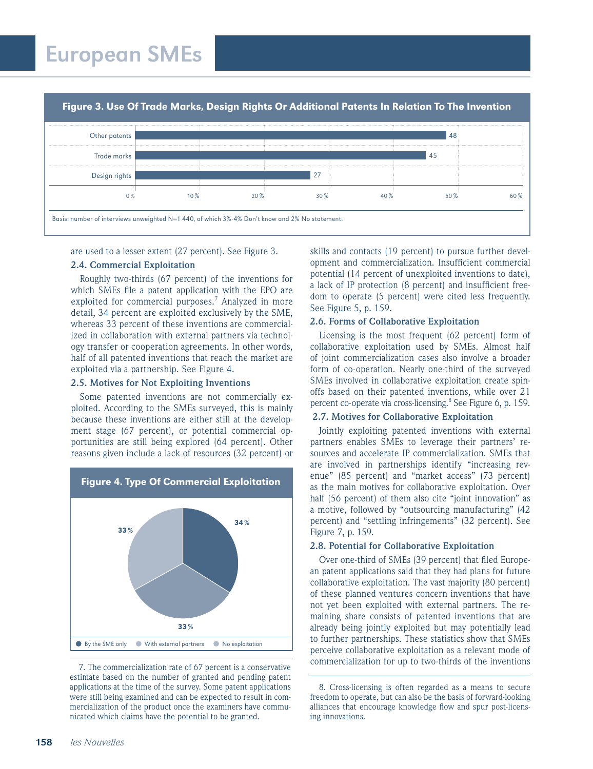Other patents Trade marks Design rights  $0\%$   $10\%$   $20\%$   $30\%$   $40\%$   $50\%$   $50\%$ Basis: number of interviews unweighted N=1 440, of which 3%-4% Don't know and 2% No statement. 48 45 27 Figure 3. Use Of Trade Marks, Design Rights Or Additional Patents In Relation To The Invention

are used to a lesser extent (27 percent). See Figure 3.

# **2.4. Commercial Exploitation**

Roughly two-thirds (67 percent) of the inventions for which SMEs file a patent application with the EPO are exploited for commercial purposes.<sup>7</sup> Analyzed in more detail, 34 percent are exploited exclusively by the SME, whereas 33 percent of these inventions are commercialized in collaboration with external partners via technology transfer or cooperation agreements. In other words, half of all patented inventions that reach the market are exploited via a partnership. See Figure 4.

### **2.5. Motives for Not Exploiting Inventions**

Some patented inventions are not commercially exploited. According to the SMEs surveyed, this is mainly because these inventions are either still at the development stage (67 percent), or potential commercial opportunities are still being explored (64 percent). Other reasons given include a lack of resources (32 percent) or



estimate based on the number of granted and pending patent applications at the time of the survey. Some patent applications were still being examined and can be expected to result in commercialization of the product once the examiners have communicated which claims have the potential to be granted.

skills and contacts (19 percent) to pursue further development and commercialization. Insufficient commercial potential (14 percent of unexploited inventions to date), a lack of IP protection (8 percent) and insufficient freedom to operate (5 percent) were cited less frequently. See Figure 5, p. 159.

# **2.6. Forms of Collaborative Exploitation**

Licensing is the most frequent (62 percent) form of collaborative exploitation used by SMEs. Almost half of joint commercialization cases also involve a broader form of co-operation. Nearly one-third of the surveyed SMEs involved in collaborative exploitation create spinoffs based on their patented inventions, while over 21 percent co-operate via cross-licensing.<sup>8</sup> See Figure 6, p. 159.

#### **2.7. Motives for Collaborative Exploitation**

Jointly exploiting patented inventions with external partners enables SMEs to leverage their partners' resources and accelerate IP commercialization. SMEs that are involved in partnerships identify "increasing revenue" (85 percent) and "market access" (73 percent) as the main motives for collaborative exploitation. Over half (56 percent) of them also cite "joint innovation" as a motive, followed by "outsourcing manufacturing" (42 percent) and "settling infringements" (32 percent). See Figure 7, p. 159.

#### **2.8. Potential for Collaborative Exploitation**

Over one-third of SMEs (39 percent) that filed European patent applications said that they had plans for future collaborative exploitation. The vast majority (80 percent) of these planned ventures concern inventions that have not yet been exploited with external partners. The remaining share consists of patented inventions that are already being jointly exploited but may potentially lead to further partnerships. These statistics show that SMEs perceive collaborative exploitation as a relevant mode of commercialization for up to two-thirds of the inventions 7. The commercialization rate of 67 percent is a conservative

<sup>8.</sup> Cross-licensing is often regarded as a means to secure freedom to operate, but can also be the basis of forward-looking alliances that encourage knowledge flow and spur post-licensing innovations.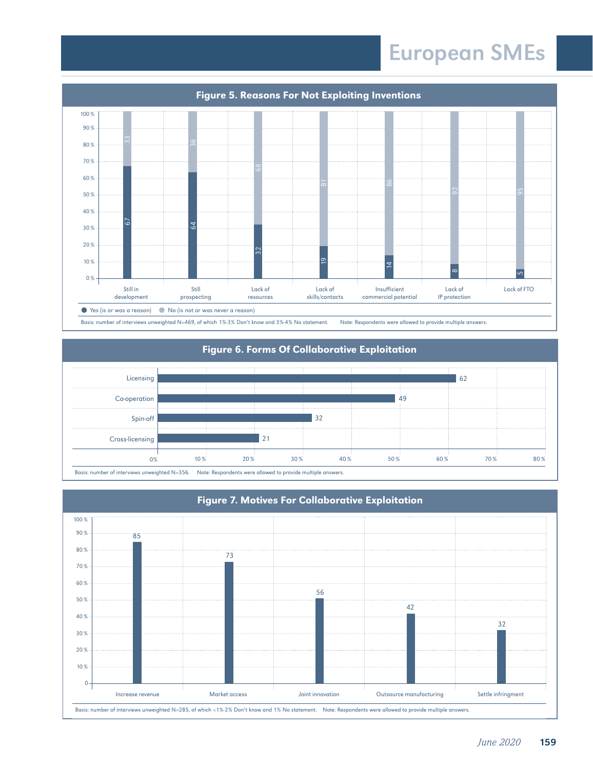

# Figure 6. Forms Of Collaborative Exploitation



Basis: number of interviews unweighted N=356. Note: Respondents were allowed to provide multiple answers.

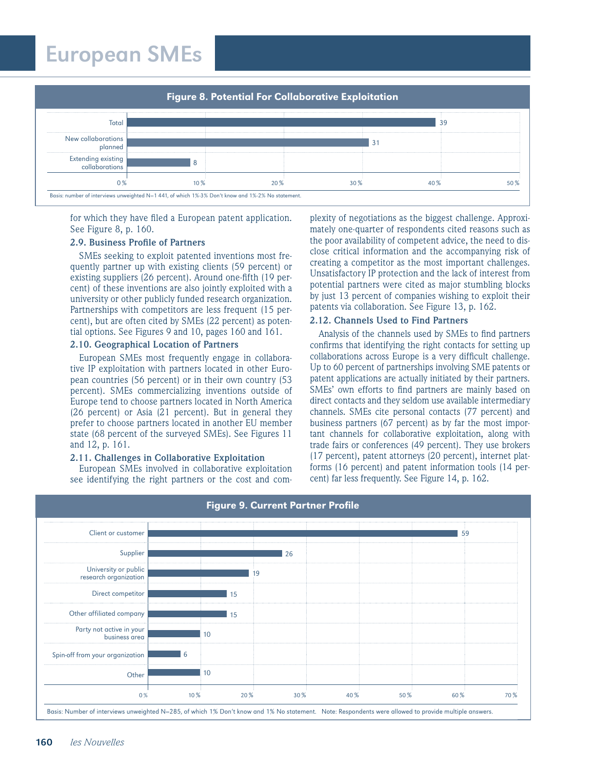

for which they have filed a European patent application. See Figure 8, p. 160.

#### **2.9. Business Profile of Partners**

SMEs seeking to exploit patented inventions most frequently partner up with existing clients (59 percent) or existing suppliers (26 percent). Around one-fifth (19 percent) of these inventions are also jointly exploited with a university or other publicly funded research organization. Partnerships with competitors are less frequent (15 percent), but are often cited by SMEs (22 percent) as potential options. See Figures 9 and 10, pages 160 and 161.

#### **2.10. Geographical Location of Partners**

European SMEs most frequently engage in collaborative IP exploitation with partners located in other European countries (56 percent) or in their own country (53 percent). SMEs commercializing inventions outside of Europe tend to choose partners located in North America (26 percent) or Asia (21 percent). But in general they prefer to choose partners located in another EU member state (68 percent of the surveyed SMEs). See Figures 11 and 12, p. 161.

# **2.11. Challenges in Collaborative Exploitation**

European SMEs involved in collaborative exploitation see identifying the right partners or the cost and complexity of negotiations as the biggest challenge. Approximately one-quarter of respondents cited reasons such as the poor availability of competent advice, the need to disclose critical information and the accompanying risk of creating a competitor as the most important challenges. Unsatisfactory IP protection and the lack of interest from potential partners were cited as major stumbling blocks by just 13 percent of companies wishing to exploit their patents via collaboration. See Figure 13, p. 162.

# **2.12. Channels Used to Find Partners**

Analysis of the channels used by SMEs to find partners confirms that identifying the right contacts for setting up collaborations across Europe is a very difficult challenge. Up to 60 percent of partnerships involving SME patents or patent applications are actually initiated by their partners. SMEs' own efforts to find partners are mainly based on direct contacts and they seldom use available intermediary channels. SMEs cite personal contacts (77 percent) and business partners (67 percent) as by far the most important channels for collaborative exploitation, along with trade fairs or conferences (49 percent). They use brokers (17 percent), patent attorneys (20 percent), internet platforms (16 percent) and patent information tools (14 percent) far less frequently. See Figure 14, p. 162.

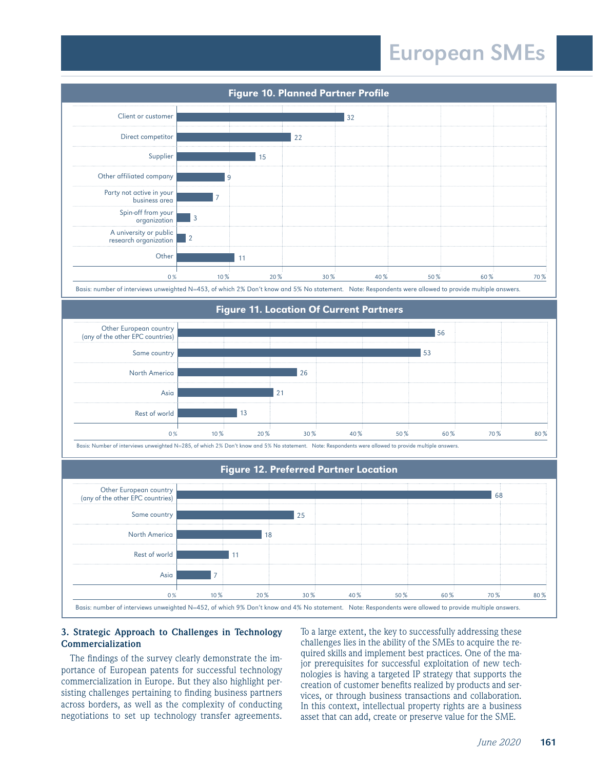

Basis: number of interviews unweighted N=453, of which 2% Don't know and 5% No statement. Note: Respondents were allowed to provide multiple answers.

### Figure 11. Location Of Current Partners

| Other European country<br>(any of the other EPC countries) |        |     |     |     |      | 56   |      |  |
|------------------------------------------------------------|--------|-----|-----|-----|------|------|------|--|
| Same country                                               |        |     |     |     |      | 53   |      |  |
| <b>North America</b>                                       |        |     | 26  |     |      |      |      |  |
| Asia                                                       |        |     | ⌒   |     |      |      |      |  |
| Rest of world                                              |        |     |     |     |      |      |      |  |
|                                                            | $10\%$ | 20% | 30% | 40% | 50 % | 60 % | 70 % |  |

Basis: Number of interviews unweighted N=285, of which 2% Don't know and 5% No statement. Note: Respondents were allowed to provide multiple answers.

#### Figure 12. Preferred Partner Location



# **3. Strategic Approach to Challenges in Technology Commercialization**

The findings of the survey clearly demonstrate the importance of European patents for successful technology commercialization in Europe. But they also highlight persisting challenges pertaining to finding business partners across borders, as well as the complexity of conducting negotiations to set up technology transfer agreements. To a large extent, the key to successfully addressing these challenges lies in the ability of the SMEs to acquire the required skills and implement best practices. One of the major prerequisites for successful exploitation of new technologies is having a targeted IP strategy that supports the creation of customer benefits realized by products and services, or through business transactions and collaboration. In this context, intellectual property rights are a business asset that can add, create or preserve value for the SME.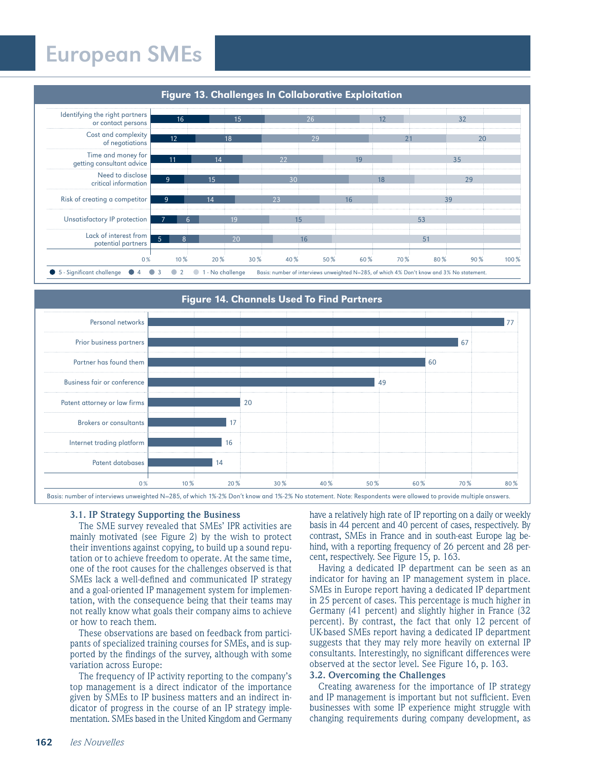

# Figure 13. Challenges In Collaborative Exploitation

Personal networks Prior business partners Partner has found them Business fair or conference Patent attorney or law firms Brokers or consultants Internet trading platform Patent databases  $0\%$   $10\%$   $20\%$   $30\%$   $40\%$   $50\%$   $60\%$   $70\%$   $80\%$ 77 67 60 49 20 17 16  $14$ Figure 14. Channels Used To Find Partners

Basis: number of interviews unweighted N=285, of which 1%-2% Don't know and 1%-2% No statement. Note: Respondents were allowed to provide multiple answers.

#### **3.1. IP Strategy Supporting the Business**

The SME survey revealed that SMEs' IPR activities are mainly motivated (see Figure 2) by the wish to protect their inventions against copying, to build up a sound reputation or to achieve freedom to operate. At the same time, one of the root causes for the challenges observed is that SMEs lack a well-defined and communicated IP strategy and a goal-oriented IP management system for implementation, with the consequence being that their teams may not really know what goals their company aims to achieve or how to reach them.

These observations are based on feedback from participants of specialized training courses for SMEs, and is supported by the findings of the survey, although with some variation across Europe:

The frequency of IP activity reporting to the company's top management is a direct indicator of the importance given by SMEs to IP business matters and an indirect indicator of progress in the course of an IP strategy implementation. SMEs based in the United Kingdom and Germany

have a relatively high rate of IP reporting on a daily or weekly basis in 44 percent and 40 percent of cases, respectively. By contrast, SMEs in France and in south-east Europe lag behind, with a reporting frequency of 26 percent and 28 percent, respectively. See Figure 15, p. 163.

Having a dedicated IP department can be seen as an indicator for having an IP management system in place. SMEs in Europe report having a dedicated IP department in 25 percent of cases. This percentage is much higher in Germany (41 percent) and slightly higher in France (32 percent). By contrast, the fact that only 12 percent of UK-based SMEs report having a dedicated IP department suggests that they may rely more heavily on external IP consultants. Interestingly, no significant differences were observed at the sector level. See Figure 16, p. 163.

# **3.2. Overcoming the Challenges**

Creating awareness for the importance of IP strategy and IP management is important but not sufficient. Even businesses with some IP experience might struggle with changing requirements during company development, as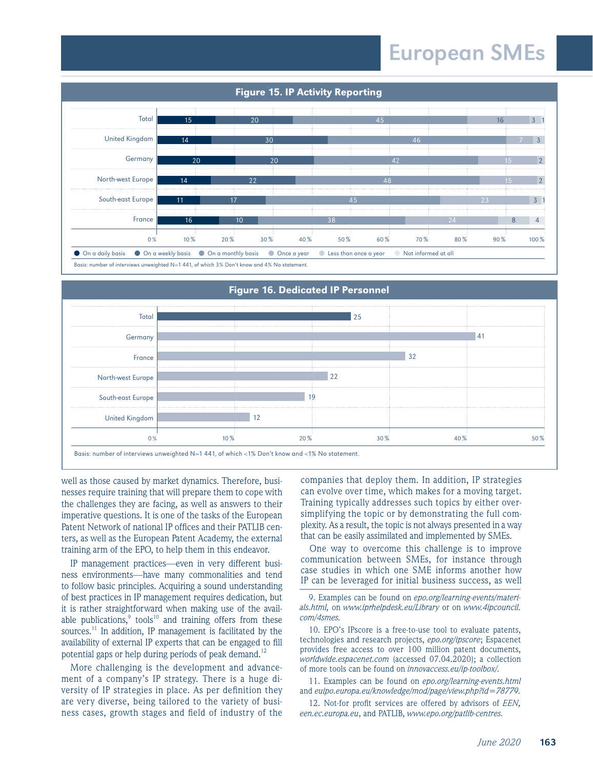

Basis: number of interviews unweighted N=1 441, of which 3% Don't know and 4% No statement.



Basis: number of interviews unweighted N=1 441, of which <1% Don't know and <1% No statement.

well as those caused by market dynamics. Therefore, businesses require training that will prepare them to cope with the challenges they are facing, as well as answers to their imperative questions. It is one of the tasks of the European Patent Network of national IP offices and their PATLIB centers, as well as the European Patent Academy, the external training arm of the EPO, to help them in this endeavor.

IP management practices—even in very different business environments—have many commonalities and tend to follow basic principles. Acquiring a sound understanding of best practices in IP management requires dedication, but it is rather straightforward when making use of the available publications, $\degree$  tools<sup>10</sup> and training offers from these sources.<sup>11</sup> In addition, IP management is facilitated by the availability of external IP experts that can be engaged to fill potential gaps or help during periods of peak demand.<sup>12</sup>

More challenging is the development and advancement of a company's IP strategy. There is a huge diversity of IP strategies in place. As per definition they are very diverse, being tailored to the variety of business cases, growth stages and field of industry of the companies that deploy them. In addition, IP strategies can evolve over time, which makes for a moving target. Training typically addresses such topics by either oversimplifying the topic or by demonstrating the full complexity. As a result, the topic is not always presented in a way that can be easily assimilated and implemented by SMEs.

One way to overcome this challenge is to improve communication between SMEs, for instance through case studies in which one SME informs another how IP can be leveraged for initial business success, as well

9. Examples can be found on *epo.org/learning-events/materials.html,* on *www.iprhelpdesk.eu/Library* or on *www.4ipcouncil. com/4smes.*

10. EPO's IPscore is a free-to-use tool to evaluate patents, technologies and research projects, *epo.org/ipscore*; Espacenet provides free access to over 100 million patent documents, *worldwide.espacenet.com* (accessed 07.04.2020); a collection of more tools can be found on *innovaccess.eu/ip-toolbox/.*

11. Examples can be found on *epo.org/learning-events.html*  and *euipo.europa.eu/knowledge/mod/page/view.php?id=78779.*

12. Not-for profit services are offered by advisors of *EEN, een.ec.europa.eu*, and PATLIB, *www.epo.org/patlib-centres.*